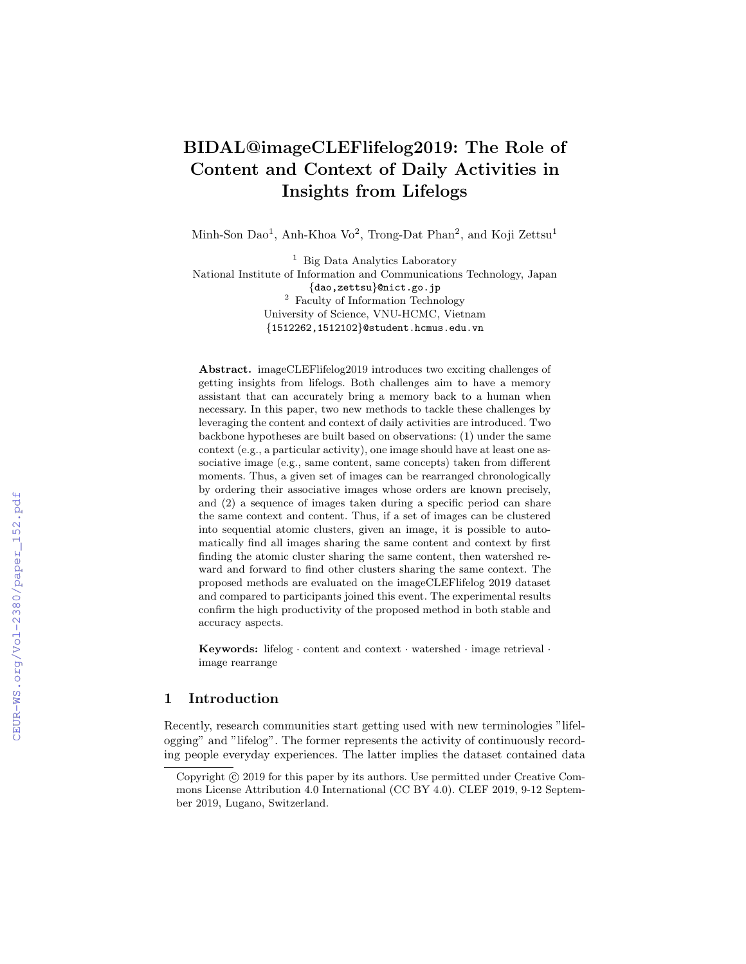# BIDAL@imageCLEFlifelog2019: The Role of Content and Context of Daily Activities in Insights from Lifelogs

Minh-Son Dao<sup>1</sup>, Anh-Khoa Vo<sup>2</sup>, Trong-Dat Phan<sup>2</sup>, and Koji Zettsu<sup>1</sup>

<sup>1</sup> Big Data Analytics Laboratory National Institute of Information and Communications Technology, Japan {dao,zettsu}@nict.go.jp <sup>2</sup> Faculty of Information Technology University of Science, VNU-HCMC, Vietnam {1512262,1512102}@student.hcmus.edu.vn

Abstract. imageCLEFlifelog2019 introduces two exciting challenges of getting insights from lifelogs. Both challenges aim to have a memory assistant that can accurately bring a memory back to a human when necessary. In this paper, two new methods to tackle these challenges by leveraging the content and context of daily activities are introduced. Two backbone hypotheses are built based on observations: (1) under the same context (e.g., a particular activity), one image should have at least one associative image (e.g., same content, same concepts) taken from different moments. Thus, a given set of images can be rearranged chronologically by ordering their associative images whose orders are known precisely, and (2) a sequence of images taken during a specific period can share the same context and content. Thus, if a set of images can be clustered into sequential atomic clusters, given an image, it is possible to automatically find all images sharing the same content and context by first finding the atomic cluster sharing the same content, then watershed reward and forward to find other clusters sharing the same context. The proposed methods are evaluated on the imageCLEFlifelog 2019 dataset and compared to participants joined this event. The experimental results confirm the high productivity of the proposed method in both stable and accuracy aspects.

Keywords: lifelog  $\cdot$  content and context  $\cdot$  watershed  $\cdot$  image retrieval  $\cdot$ image rearrange

# 1 Introduction

Recently, research communities start getting used with new terminologies "lifelogging" and "lifelog". The former represents the activity of continuously recording people everyday experiences. The latter implies the dataset contained data

Copyright  $\odot$  2019 for this paper by its authors. Use permitted under Creative Commons License Attribution 4.0 International (CC BY 4.0). CLEF 2019, 9-12 September 2019, Lugano, Switzerland.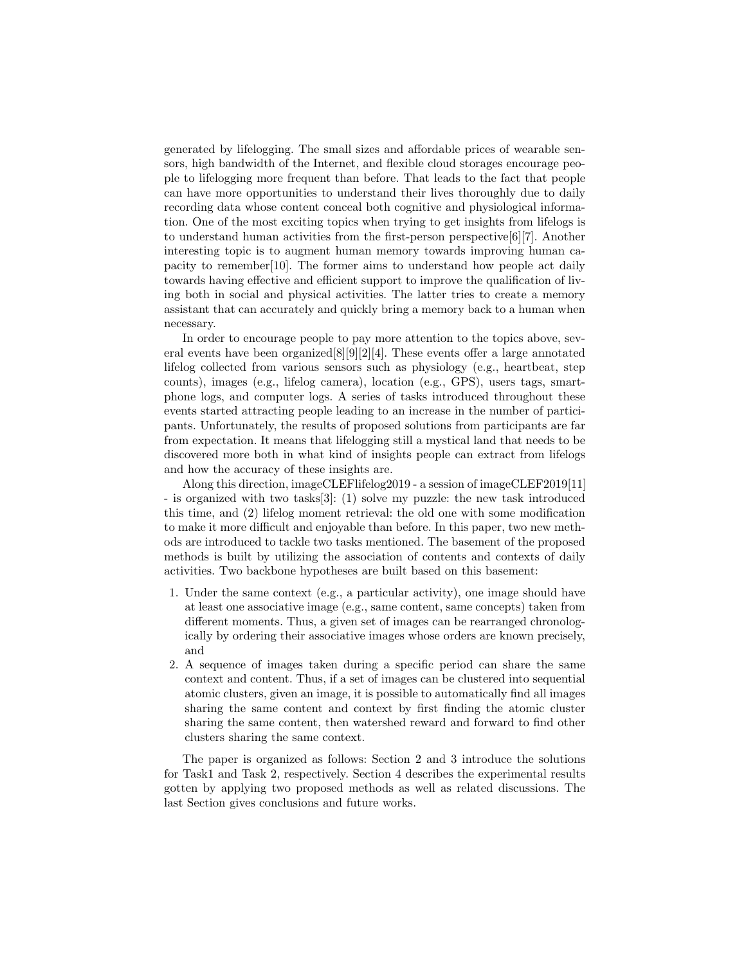generated by lifelogging. The small sizes and affordable prices of wearable sensors, high bandwidth of the Internet, and flexible cloud storages encourage people to lifelogging more frequent than before. That leads to the fact that people can have more opportunities to understand their lives thoroughly due to daily recording data whose content conceal both cognitive and physiological information. One of the most exciting topics when trying to get insights from lifelogs is to understand human activities from the first-person perspective[6][7]. Another interesting topic is to augment human memory towards improving human capacity to remember[10]. The former aims to understand how people act daily towards having effective and efficient support to improve the qualification of living both in social and physical activities. The latter tries to create a memory assistant that can accurately and quickly bring a memory back to a human when necessary.

In order to encourage people to pay more attention to the topics above, several events have been organized[8][9][2][4]. These events offer a large annotated lifelog collected from various sensors such as physiology (e.g., heartbeat, step counts), images (e.g., lifelog camera), location (e.g., GPS), users tags, smartphone logs, and computer logs. A series of tasks introduced throughout these events started attracting people leading to an increase in the number of participants. Unfortunately, the results of proposed solutions from participants are far from expectation. It means that lifelogging still a mystical land that needs to be discovered more both in what kind of insights people can extract from lifelogs and how the accuracy of these insights are.

Along this direction, imageCLEFlifelog2019 - a session of imageCLEF2019[11] - is organized with two tasks[3]: (1) solve my puzzle: the new task introduced this time, and (2) lifelog moment retrieval: the old one with some modification to make it more difficult and enjoyable than before. In this paper, two new methods are introduced to tackle two tasks mentioned. The basement of the proposed methods is built by utilizing the association of contents and contexts of daily activities. Two backbone hypotheses are built based on this basement:

- 1. Under the same context (e.g., a particular activity), one image should have at least one associative image (e.g., same content, same concepts) taken from different moments. Thus, a given set of images can be rearranged chronologically by ordering their associative images whose orders are known precisely, and
- 2. A sequence of images taken during a specific period can share the same context and content. Thus, if a set of images can be clustered into sequential atomic clusters, given an image, it is possible to automatically find all images sharing the same content and context by first finding the atomic cluster sharing the same content, then watershed reward and forward to find other clusters sharing the same context.

The paper is organized as follows: Section 2 and 3 introduce the solutions for Task1 and Task 2, respectively. Section 4 describes the experimental results gotten by applying two proposed methods as well as related discussions. The last Section gives conclusions and future works.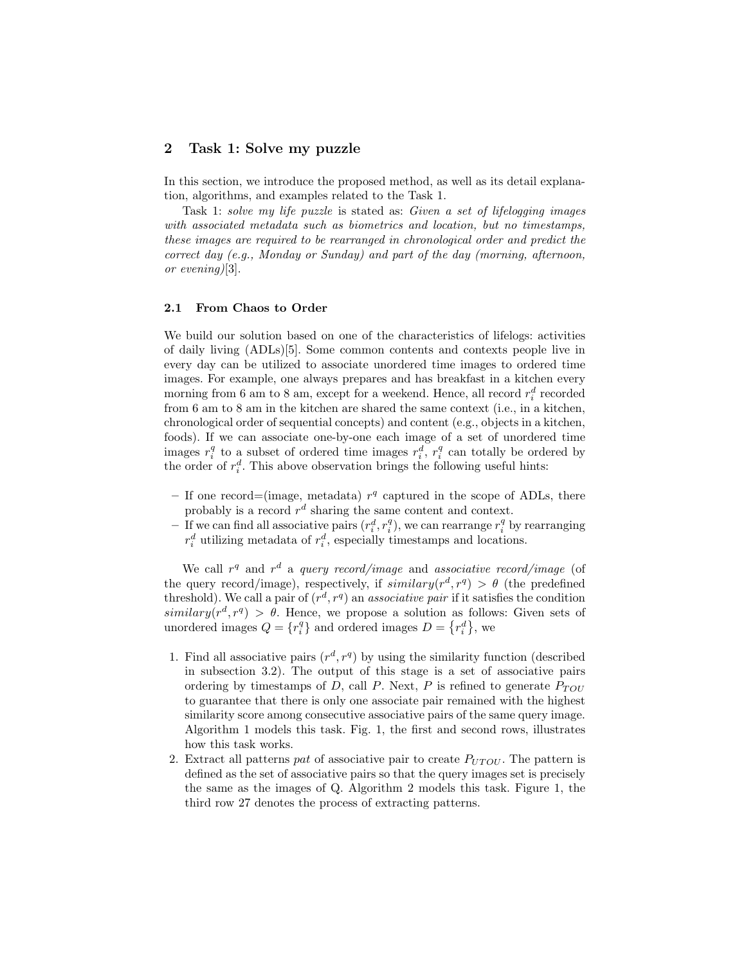## 2 Task 1: Solve my puzzle

In this section, we introduce the proposed method, as well as its detail explanation, algorithms, and examples related to the Task 1.

Task 1: solve my life puzzle is stated as: Given a set of lifelogging images with associated metadata such as biometrics and location, but no timestamps, these images are required to be rearranged in chronological order and predict the correct day (e.g., Monday or Sunday) and part of the day (morning, afternoon, or evening)[3].

#### 2.1 From Chaos to Order

We build our solution based on one of the characteristics of lifelogs: activities of daily living (ADLs)[5]. Some common contents and contexts people live in every day can be utilized to associate unordered time images to ordered time images. For example, one always prepares and has breakfast in a kitchen every morning from 6 am to 8 am, except for a weekend. Hence, all record  $r_i^d$  recorded from 6 am to 8 am in the kitchen are shared the same context (i.e., in a kitchen, chronological order of sequential concepts) and content (e.g., objects in a kitchen, foods). If we can associate one-by-one each image of a set of unordered time images  $r_i^q$  to a subset of ordered time images  $r_i^d$ ,  $r_i^q$  can totally be ordered by the order of  $r_i^d$ . This above observation brings the following useful hints:

- If one record=(image, metadata)  $r<sup>q</sup>$  captured in the scope of ADLs, there probably is a record  $r^d$  sharing the same content and context.
- If we can find all associative pairs  $(r_i^d, r_i^q)$ , we can rearrange  $r_i^q$  by rearranging  $r_i^d$  utilizing metadata of  $r_i^d$ , especially timestamps and locations.

We call  $r<sup>q</sup>$  and  $r<sup>d</sup>$  a *query record/image* and *associative record/image* (of the query record/image), respectively, if  $\text{similarity}(r^d, r^q) > \theta$  (the predefined threshold). We call a pair of  $(r^d, r^q)$  an *associative pair* if it satisfies the condition  $similary(r^d, r^q) > \theta$ . Hence, we propose a solution as follows: Given sets of unordered images  $Q = \{r_i^q\}$  and ordered images  $D = \{r_i^d\}$ , we

- 1. Find all associative pairs  $(r^d, r^q)$  by using the similarity function (described in subsection 3.2). The output of this stage is a set of associative pairs ordering by timestamps of  $D$ , call  $P$ . Next,  $P$  is refined to generate  $P_{TOU}$ to guarantee that there is only one associate pair remained with the highest similarity score among consecutive associative pairs of the same query image. Algorithm 1 models this task. Fig. 1, the first and second rows, illustrates how this task works.
- 2. Extract all patterns pat of associative pair to create  $P_{UTOU}$ . The pattern is defined as the set of associative pairs so that the query images set is precisely the same as the images of Q. Algorithm 2 models this task. Figure 1, the third row 27 denotes the process of extracting patterns.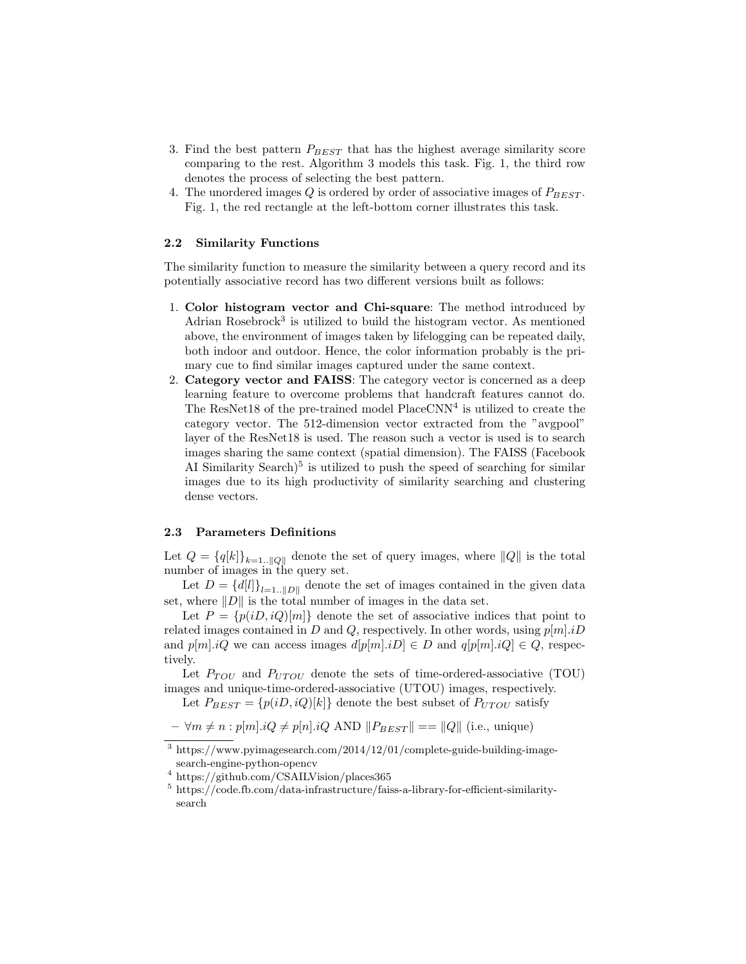- 3. Find the best pattern  $P_{BEST}$  that has the highest average similarity score comparing to the rest. Algorithm 3 models this task. Fig. 1, the third row denotes the process of selecting the best pattern.
- 4. The unordered images  $Q$  is ordered by order of associative images of  $P_{BERT}$ . Fig. 1, the red rectangle at the left-bottom corner illustrates this task.

#### 2.2 Similarity Functions

The similarity function to measure the similarity between a query record and its potentially associative record has two different versions built as follows:

- 1. Color histogram vector and Chi-square: The method introduced by Adrian Rosebrock<sup>3</sup> is utilized to build the histogram vector. As mentioned above, the environment of images taken by lifelogging can be repeated daily, both indoor and outdoor. Hence, the color information probably is the primary cue to find similar images captured under the same context.
- 2. Category vector and FAISS: The category vector is concerned as a deep learning feature to overcome problems that handcraft features cannot do. The ResNet18 of the pre-trained model  $PlaceCNN<sup>4</sup>$  is utilized to create the category vector. The 512-dimension vector extracted from the "avgpool" layer of the ResNet18 is used. The reason such a vector is used is to search images sharing the same context (spatial dimension). The FAISS (Facebook AI Similarity Search $)^5$  is utilized to push the speed of searching for similar images due to its high productivity of similarity searching and clustering dense vectors.

#### 2.3 Parameters Definitions

Let  $Q = \{q[k]\}_{k=1}^{\infty}$  denote the set of query images, where  $||Q||$  is the total number of images in the query set.

Let  $D = \{d[l]\}_{l=1}$ .  $||D||$  denote the set of images contained in the given data set, where  $||D||$  is the total number of images in the data set.

Let  $P = \{p(iD, iQ)[m]\}\$  denote the set of associative indices that point to related images contained in D and Q, respectively. In other words, using  $p[m].iD$ and  $p[m].iQ$  we can access images  $d[p[m].iD] \in D$  and  $q[p[m].iQ] \in Q$ , respectively.

Let  $P_{TOU}$  and  $P_{UTOU}$  denote the sets of time-ordered-associative (TOU) images and unique-time-ordered-associative (UTOU) images, respectively.

Let  $P_{BEST} = \{p(iD, iQ)[k]\}$  denote the best subset of  $P_{UTOU}$  satisfy

 $-\forall m \neq n : p[m].iQ \neq p[n].iQ$  AND  $||P_{BEST}|| == ||Q||$  (i.e., unique)

<sup>3</sup> https://www.pyimagesearch.com/2014/12/01/complete-guide-building-imagesearch-engine-python-opencv

<sup>4</sup> https://github.com/CSAILVision/places365

<sup>5</sup> https://code.fb.com/data-infrastructure/faiss-a-library-for-efficient-similaritysearch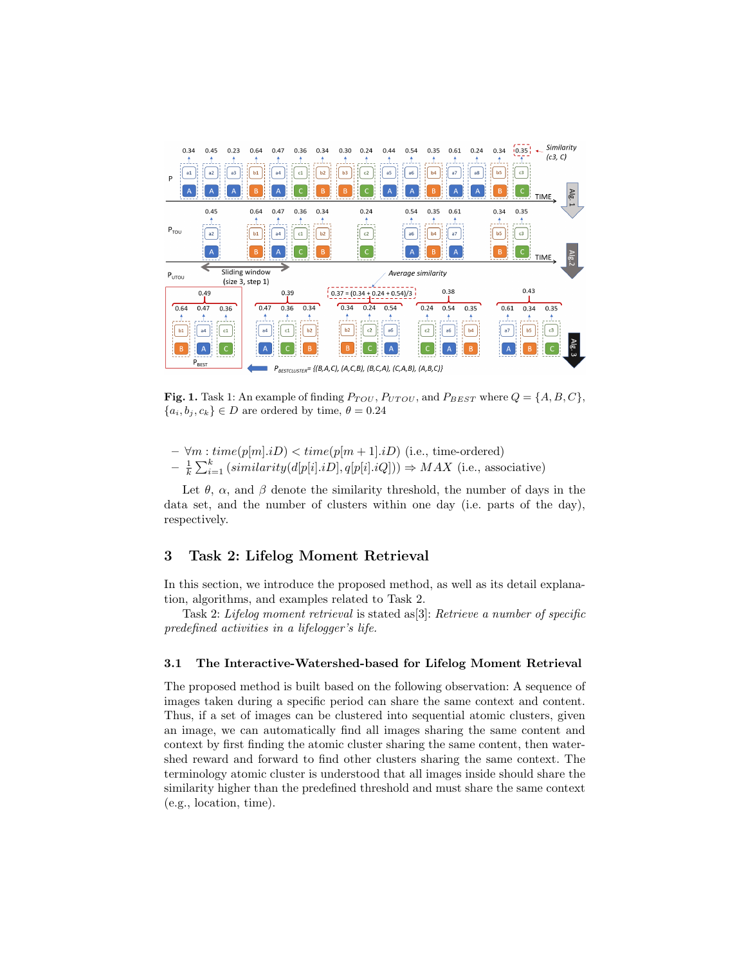

Fig. 1. Task 1: An example of finding  $P_{TOU}$ ,  $P_{UTOU}$ , and  $P_{BEST}$  where  $Q = \{A, B, C\}$ ,  ${a_i, b_j, c_k} \in D$  are ordered by time,  $\theta = 0.24$ 

- $\forall m: time(p[m].iD) < time(p[m+1].iD)$  (i.e., time-ordered)
- $-\frac{1}{k}\sum_{i=1}^{k} (similarity(d[p[i].iD], q[p[i].iQ])) \Rightarrow MAX$  (i.e., associative)

Let  $\theta$ ,  $\alpha$ , and  $\beta$  denote the similarity threshold, the number of days in the data set, and the number of clusters within one day (i.e. parts of the day), respectively.

# 3 Task 2: Lifelog Moment Retrieval

In this section, we introduce the proposed method, as well as its detail explanation, algorithms, and examples related to Task 2.

Task 2: Lifelog moment retrieval is stated as[3]: Retrieve a number of specific predefined activities in a lifelogger's life.

#### 3.1 The Interactive-Watershed-based for Lifelog Moment Retrieval

The proposed method is built based on the following observation: A sequence of images taken during a specific period can share the same context and content. Thus, if a set of images can be clustered into sequential atomic clusters, given an image, we can automatically find all images sharing the same content and context by first finding the atomic cluster sharing the same content, then watershed reward and forward to find other clusters sharing the same context. The terminology atomic cluster is understood that all images inside should share the similarity higher than the predefined threshold and must share the same context (e.g., location, time).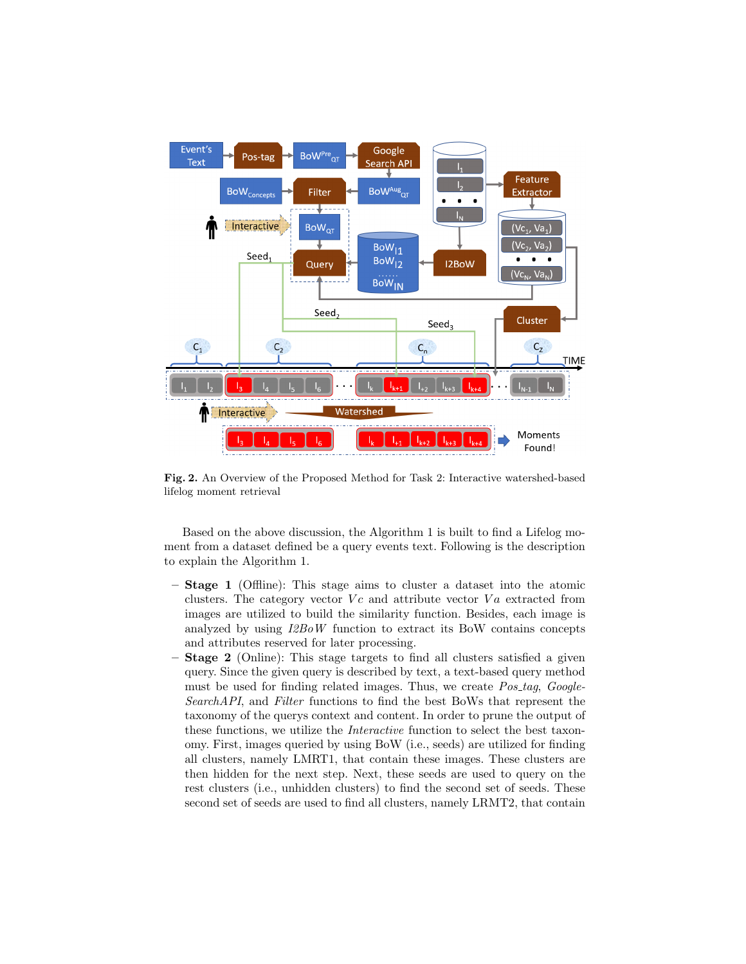

Fig. 2. An Overview of the Proposed Method for Task 2: Interactive watershed-based lifelog moment retrieval

Based on the above discussion, the Algorithm 1 is built to find a Lifelog moment from a dataset defined be a query events text. Following is the description to explain the Algorithm 1.

- Stage 1 (Offline): This stage aims to cluster a dataset into the atomic clusters. The category vector  $V_c$  and attribute vector  $Va$  extracted from images are utilized to build the similarity function. Besides, each image is analyzed by using I2BoW function to extract its BoW contains concepts and attributes reserved for later processing.
- **Stage 2** (Online): This stage targets to find all clusters satisfied a given query. Since the given query is described by text, a text-based query method must be used for finding related images. Thus, we create  $Pos\_tag$ ,  $Google-$ SearchAPI, and Filter functions to find the best BoWs that represent the taxonomy of the querys context and content. In order to prune the output of these functions, we utilize the Interactive function to select the best taxonomy. First, images queried by using BoW (i.e., seeds) are utilized for finding all clusters, namely LMRT1, that contain these images. These clusters are then hidden for the next step. Next, these seeds are used to query on the rest clusters (i.e., unhidden clusters) to find the second set of seeds. These second set of seeds are used to find all clusters, namely LRMT2, that contain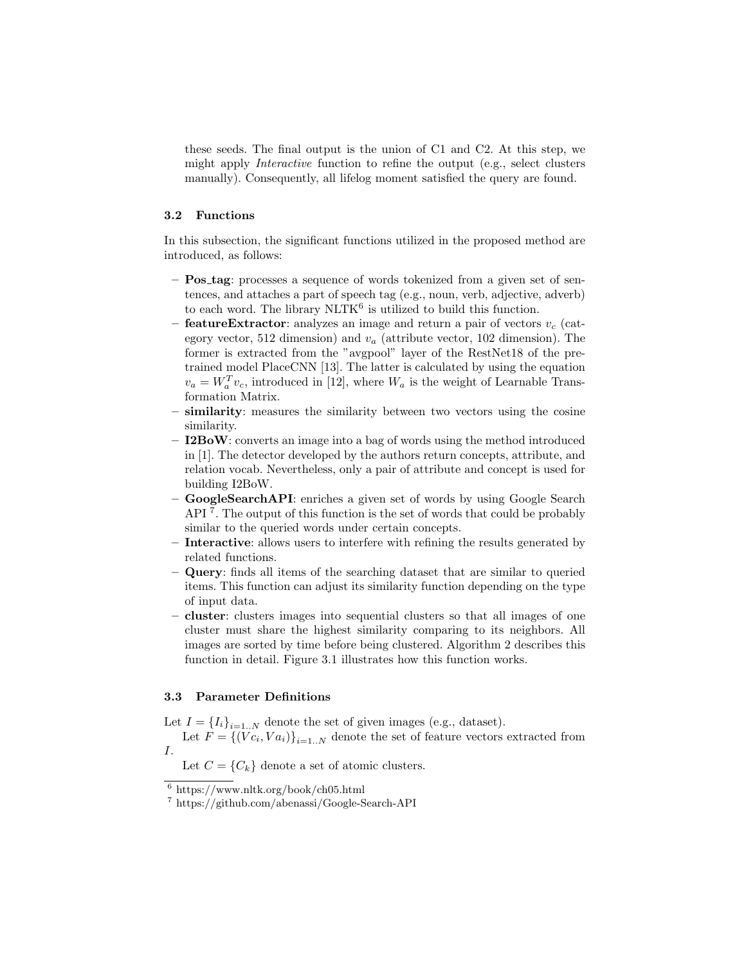these seeds. The final output is the union of C1 and C2. At this step, we might apply Interactive function to refine the output (e.g., select clusters manually). Consequently, all lifelog moment satisfied the query are found.

## 3.2 Functions

In this subsection, the significant functions utilized in the proposed method are introduced, as follows:

- **Pos\_tag**: processes a sequence of words tokenized from a given set of sentences, and attaches a part of speech tag (e.g., noun, verb, adjective, adverb) to each word. The library  $\text{NLTK}^6$  is utilized to build this function.
- **featureExtractor**: analyzes an image and return a pair of vectors  $v_c$  (category vector, 512 dimension) and  $v_a$  (attribute vector, 102 dimension). The former is extracted from the "avgpool" layer of the RestNet18 of the pretrained model PlaceCNN [13]. The latter is calculated by using the equation  $v_a = W_a^T v_c$ , introduced in [12], where  $W_a$  is the weight of Learnable Transformation Matrix.
- similarity: measures the similarity between two vectors using the cosine similarity.
- $I2BoW:$  converts an image into a bag of words using the method introduced in [1]. The detector developed by the authors return concepts, attribute, and relation vocab. Nevertheless, only a pair of attribute and concept is used for building I2BoW.
- GoogleSearchAPI: enriches a given set of words by using Google Search API<sup>7</sup>. The output of this function is the set of words that could be probably similar to the queried words under certain concepts.
- Interactive: allows users to interfere with refining the results generated by related functions.
- Query: finds all items of the searching dataset that are similar to queried items. This function can adjust its similarity function depending on the type of input data.
- cluster: clusters images into sequential clusters so that all images of one cluster must share the highest similarity comparing to its neighbors. All images are sorted by time before being clustered. Algorithm 2 describes this function in detail. Figure 3.1 illustrates how this function works.

#### 3.3 Parameter Definitions

Let  $I = \{I_i\}_{i=1..N}$  denote the set of given images (e.g., dataset).

Let  $F = \{ (Vc_i, Va_i) \}_{i=1..N}$  denote the set of feature vectors extracted from I.

Let  $C = \{C_k\}$  denote a set of atomic clusters.

 $6 \text{ https://www.nltk.org/book/ch05.html}$ 

<sup>7</sup> https://github.com/abenassi/Google-Search-API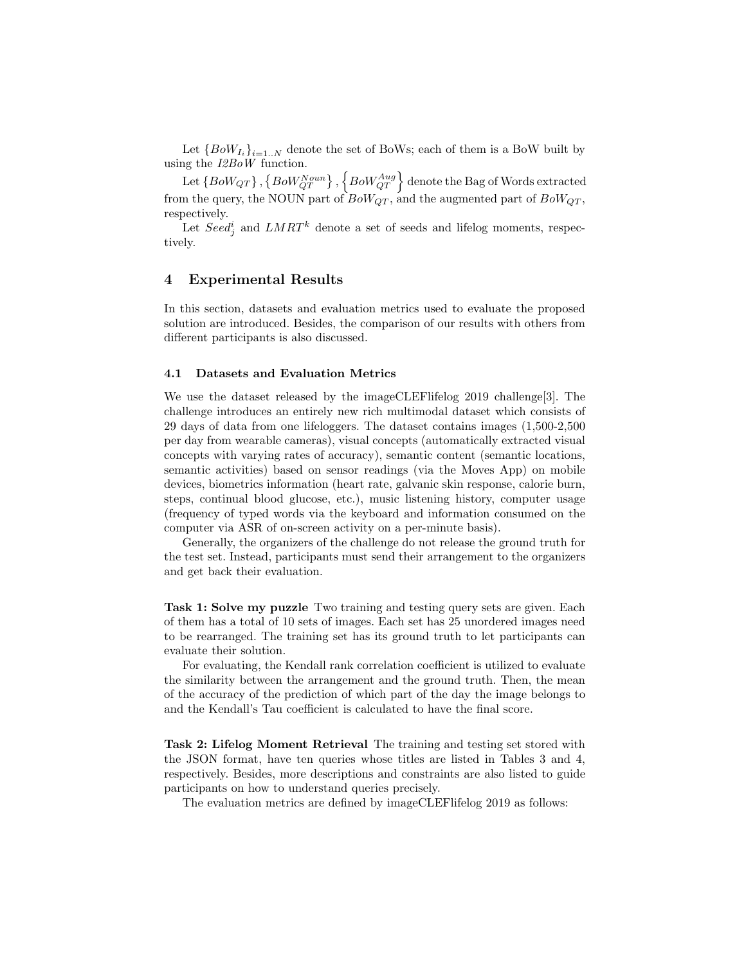Let  ${Bow}_{I_i}_{i=1..N}$  denote the set of BoWs; each of them is a BoW built by using the I2BoW function.

Let  $\{BoW_{QT}\}$  ,  $\left\{BoW^{Noun}_{QT}\right\}$  ,  $\left\{BoW^{Aug}_{QT}\right\}$  denote the Bag of Words extracted from the query, the NOUN part of  $BoW_{QT}$ , and the augmented part of  $BoW_{QT}$ , respectively.

Let  $Seed_j^i$  and  $LMRT^k$  denote a set of seeds and lifelog moments, respectively.

## 4 Experimental Results

In this section, datasets and evaluation metrics used to evaluate the proposed solution are introduced. Besides, the comparison of our results with others from different participants is also discussed.

## 4.1 Datasets and Evaluation Metrics

We use the dataset released by the imageCLEFlifelog 2019 challenge[3]. The challenge introduces an entirely new rich multimodal dataset which consists of 29 days of data from one lifeloggers. The dataset contains images (1,500-2,500 per day from wearable cameras), visual concepts (automatically extracted visual concepts with varying rates of accuracy), semantic content (semantic locations, semantic activities) based on sensor readings (via the Moves App) on mobile devices, biometrics information (heart rate, galvanic skin response, calorie burn, steps, continual blood glucose, etc.), music listening history, computer usage (frequency of typed words via the keyboard and information consumed on the computer via ASR of on-screen activity on a per-minute basis).

Generally, the organizers of the challenge do not release the ground truth for the test set. Instead, participants must send their arrangement to the organizers and get back their evaluation.

Task 1: Solve my puzzle Two training and testing query sets are given. Each of them has a total of 10 sets of images. Each set has 25 unordered images need to be rearranged. The training set has its ground truth to let participants can evaluate their solution.

For evaluating, the Kendall rank correlation coefficient is utilized to evaluate the similarity between the arrangement and the ground truth. Then, the mean of the accuracy of the prediction of which part of the day the image belongs to and the Kendall's Tau coefficient is calculated to have the final score.

Task 2: Lifelog Moment Retrieval The training and testing set stored with the JSON format, have ten queries whose titles are listed in Tables 3 and 4, respectively. Besides, more descriptions and constraints are also listed to guide participants on how to understand queries precisely.

The evaluation metrics are defined by imageCLEFlifelog 2019 as follows: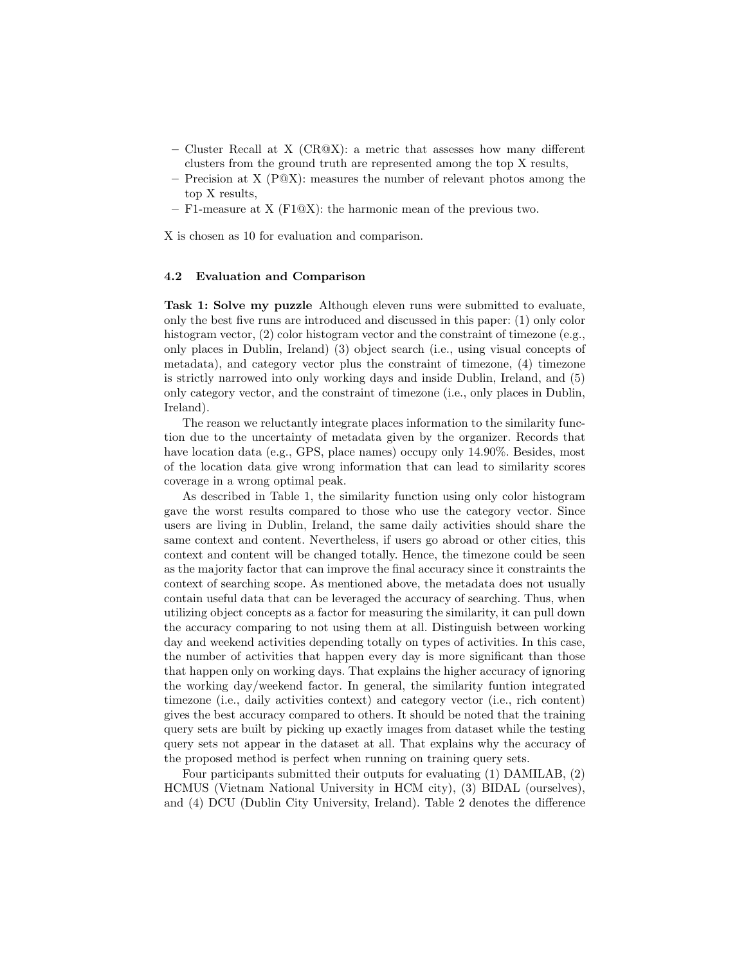- Cluster Recall at X (CR $\mathbb{Q}(\mathbf{X})$ : a metric that assesses how many different clusters from the ground truth are represented among the top X results,
- Precision at X  $(P@X)$ : measures the number of relevant photos among the top X results,
- F1-measure at X (F1@X): the harmonic mean of the previous two.

X is chosen as 10 for evaluation and comparison.

#### 4.2 Evaluation and Comparison

Task 1: Solve my puzzle Although eleven runs were submitted to evaluate, only the best five runs are introduced and discussed in this paper: (1) only color histogram vector, (2) color histogram vector and the constraint of timezone (e.g., only places in Dublin, Ireland) (3) object search (i.e., using visual concepts of metadata), and category vector plus the constraint of timezone, (4) timezone is strictly narrowed into only working days and inside Dublin, Ireland, and (5) only category vector, and the constraint of timezone (i.e., only places in Dublin, Ireland).

The reason we reluctantly integrate places information to the similarity function due to the uncertainty of metadata given by the organizer. Records that have location data (e.g., GPS, place names) occupy only 14.90%. Besides, most of the location data give wrong information that can lead to similarity scores coverage in a wrong optimal peak.

As described in Table 1, the similarity function using only color histogram gave the worst results compared to those who use the category vector. Since users are living in Dublin, Ireland, the same daily activities should share the same context and content. Nevertheless, if users go abroad or other cities, this context and content will be changed totally. Hence, the timezone could be seen as the majority factor that can improve the final accuracy since it constraints the context of searching scope. As mentioned above, the metadata does not usually contain useful data that can be leveraged the accuracy of searching. Thus, when utilizing object concepts as a factor for measuring the similarity, it can pull down the accuracy comparing to not using them at all. Distinguish between working day and weekend activities depending totally on types of activities. In this case, the number of activities that happen every day is more significant than those that happen only on working days. That explains the higher accuracy of ignoring the working day/weekend factor. In general, the similarity funtion integrated timezone (i.e., daily activities context) and category vector (i.e., rich content) gives the best accuracy compared to others. It should be noted that the training query sets are built by picking up exactly images from dataset while the testing query sets not appear in the dataset at all. That explains why the accuracy of the proposed method is perfect when running on training query sets.

Four participants submitted their outputs for evaluating (1) DAMILAB, (2) HCMUS (Vietnam National University in HCM city), (3) BIDAL (ourselves), and (4) DCU (Dublin City University, Ireland). Table 2 denotes the difference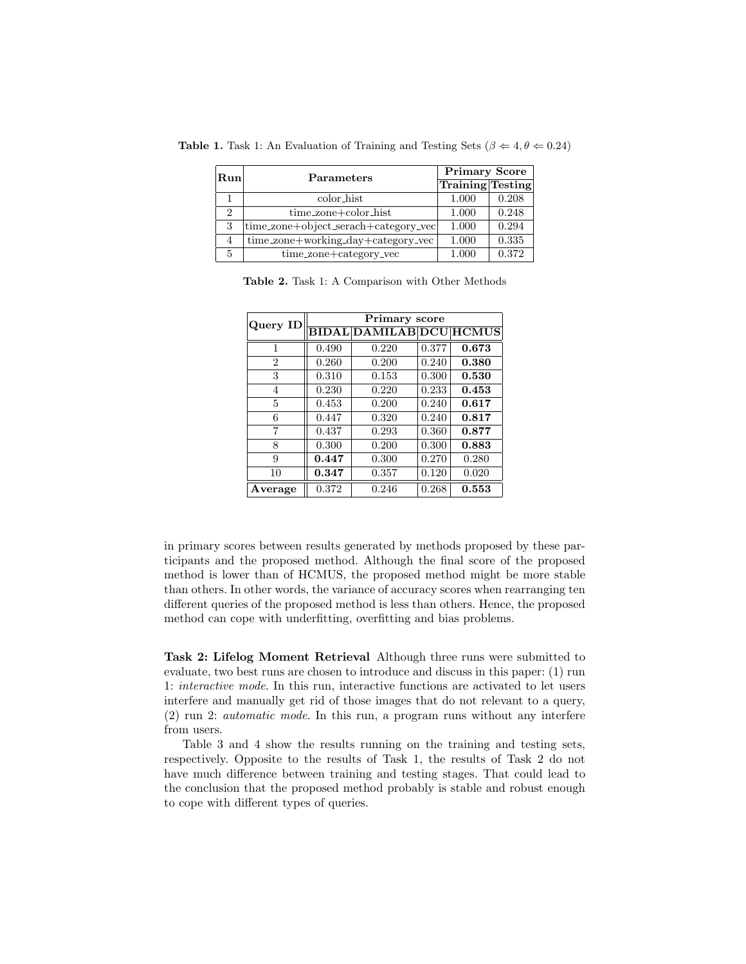| Run | <b>Parameters</b>                    | <b>Primary Score</b>    |       |  |  |
|-----|--------------------------------------|-------------------------|-------|--|--|
|     |                                      | <b>Training Testing</b> |       |  |  |
|     | color_hist                           | 1.000                   | 0.208 |  |  |
| 2   | time_zone+color_hist                 | 1.000                   | 0.248 |  |  |
| 3   | time_zone+object_serach+category_vec | 1.000                   | 0.294 |  |  |
| 4   | time_zone+working_day+category_vec   | 1.000                   | 0.335 |  |  |
|     | time_zone+category_vec               | 1.000                   | 0.372 |  |  |

**Table 1.** Task 1: An Evaluation of Training and Testing Sets ( $\beta \Leftarrow 4, \theta \Leftarrow 0.24$ )

Table 2. Task 1: A Comparison with Other Methods

| Query ID       |       | Primary score                  |       |       |  |  |  |  |  |  |
|----------------|-------|--------------------------------|-------|-------|--|--|--|--|--|--|
|                |       | <b>BIDAL DAMILAB DCU HCMUS</b> |       |       |  |  |  |  |  |  |
| 1              | 0.490 | 0.220                          | 0.377 | 0.673 |  |  |  |  |  |  |
| $\overline{2}$ | 0.260 | 0.200                          | 0.240 | 0.380 |  |  |  |  |  |  |
| 3              | 0.310 | 0.153                          | 0.300 | 0.530 |  |  |  |  |  |  |
| 4              | 0.230 | 0.220                          | 0.233 | 0.453 |  |  |  |  |  |  |
| 5              | 0.453 | 0.200                          | 0.240 | 0.617 |  |  |  |  |  |  |
| 6              | 0.447 | 0.320                          | 0.240 | 0.817 |  |  |  |  |  |  |
| 7              | 0.437 | 0.293                          | 0.360 | 0.877 |  |  |  |  |  |  |
| 8              | 0.300 | 0.200                          | 0.300 | 0.883 |  |  |  |  |  |  |
| 9              | 0.447 | 0.300                          | 0.270 | 0.280 |  |  |  |  |  |  |
| 10             | 0.347 | 0.357                          | 0.120 | 0.020 |  |  |  |  |  |  |
| Average        | 0.372 | 0.246                          | 0.268 | 0.553 |  |  |  |  |  |  |

in primary scores between results generated by methods proposed by these participants and the proposed method. Although the final score of the proposed method is lower than of HCMUS, the proposed method might be more stable than others. In other words, the variance of accuracy scores when rearranging ten different queries of the proposed method is less than others. Hence, the proposed method can cope with underfitting, overfitting and bias problems.

Task 2: Lifelog Moment Retrieval Although three runs were submitted to evaluate, two best runs are chosen to introduce and discuss in this paper: (1) run 1: interactive mode. In this run, interactive functions are activated to let users interfere and manually get rid of those images that do not relevant to a query, (2) run 2: automatic mode. In this run, a program runs without any interfere from users.

Table 3 and 4 show the results running on the training and testing sets, respectively. Opposite to the results of Task 1, the results of Task 2 do not have much difference between training and testing stages. That could lead to the conclusion that the proposed method probably is stable and robust enough to cope with different types of queries.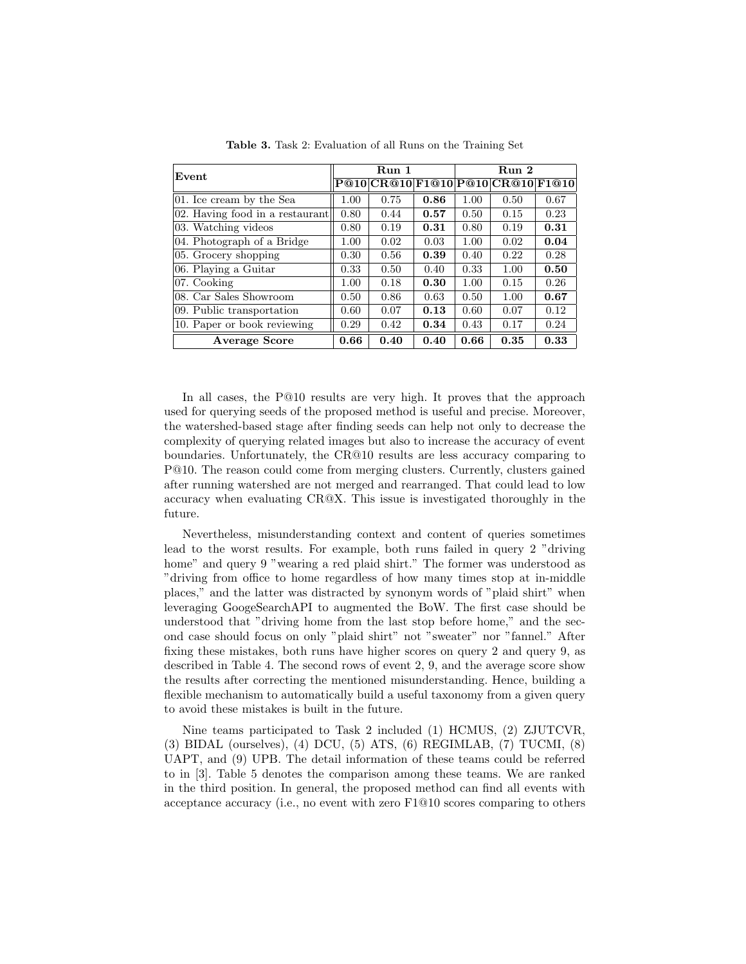| Event                           |      | Run 1 |      | Run 2 |                                   |      |  |
|---------------------------------|------|-------|------|-------|-----------------------------------|------|--|
|                                 |      |       |      |       | P@10 CR@10 F1@10 P@10 CR@10 F1@10 |      |  |
| 01. Ice cream by the Sea        | 1.00 | 0.75  | 0.86 | 1.00  | 0.50                              | 0.67 |  |
| 02. Having food in a restaurant | 0.80 | 0.44  | 0.57 | 0.50  | 0.15                              | 0.23 |  |
| 03. Watching videos             | 0.80 | 0.19  | 0.31 | 0.80  | 0.19                              | 0.31 |  |
| 04. Photograph of a Bridge      | 1.00 | 0.02  | 0.03 | 1.00  | 0.02                              | 0.04 |  |
| 05. Grocery shopping            | 0.30 | 0.56  | 0.39 | 0.40  | 0.22                              | 0.28 |  |
| 06. Playing a Guitar            | 0.33 | 0.50  | 0.40 | 0.33  | 1.00                              | 0.50 |  |
| $ 07.$ Cooking                  | 1.00 | 0.18  | 0.30 | 1.00  | 0.15                              | 0.26 |  |
| 08. Car Sales Showroom          | 0.50 | 0.86  | 0.63 | 0.50  | 1.00                              | 0.67 |  |
| 09. Public transportation       | 0.60 | 0.07  | 0.13 | 0.60  | 0.07                              | 0.12 |  |
| 10. Paper or book reviewing     | 0.29 | 0.42  | 0.34 | 0.43  | 0.17                              | 0.24 |  |
| <b>Average Score</b>            | 0.66 | 0.40  | 0.40 | 0.66  | 0.35                              | 0.33 |  |

Table 3. Task 2: Evaluation of all Runs on the Training Set

In all cases, the P@10 results are very high. It proves that the approach used for querying seeds of the proposed method is useful and precise. Moreover, the watershed-based stage after finding seeds can help not only to decrease the complexity of querying related images but also to increase the accuracy of event boundaries. Unfortunately, the CR@10 results are less accuracy comparing to P@10. The reason could come from merging clusters. Currently, clusters gained after running watershed are not merged and rearranged. That could lead to low accuracy when evaluating CR@X. This issue is investigated thoroughly in the future.

Nevertheless, misunderstanding context and content of queries sometimes lead to the worst results. For example, both runs failed in query 2 "driving home" and query 9 "wearing a red plaid shirt." The former was understood as "driving from office to home regardless of how many times stop at in-middle places," and the latter was distracted by synonym words of "plaid shirt" when leveraging GoogeSearchAPI to augmented the BoW. The first case should be understood that "driving home from the last stop before home," and the second case should focus on only "plaid shirt" not "sweater" nor "fannel." After fixing these mistakes, both runs have higher scores on query 2 and query 9, as described in Table 4. The second rows of event 2, 9, and the average score show the results after correcting the mentioned misunderstanding. Hence, building a flexible mechanism to automatically build a useful taxonomy from a given query to avoid these mistakes is built in the future.

Nine teams participated to Task 2 included (1) HCMUS, (2) ZJUTCVR, (3) BIDAL (ourselves), (4) DCU, (5) ATS, (6) REGIMLAB, (7) TUCMI, (8) UAPT, and (9) UPB. The detail information of these teams could be referred to in [3]. Table 5 denotes the comparison among these teams. We are ranked in the third position. In general, the proposed method can find all events with acceptance accuracy (i.e., no event with zero F1@10 scores comparing to others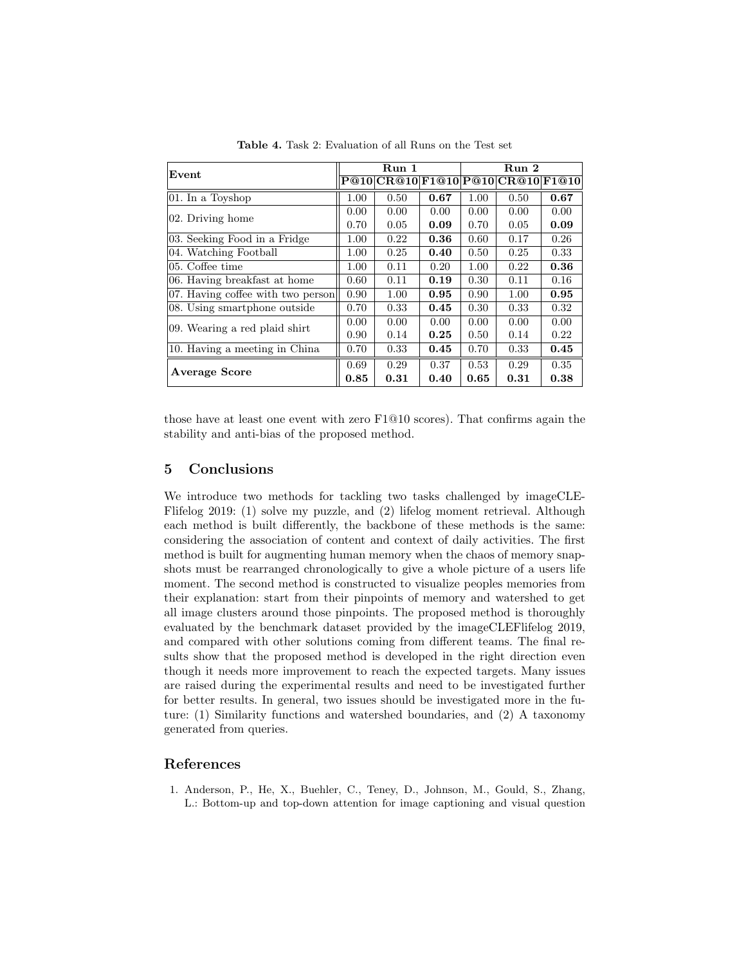| Event                             |      | Run 1                       |      | Run 2 |      |       |  |
|-----------------------------------|------|-----------------------------|------|-------|------|-------|--|
|                                   |      | P@10 CR@10 F1@10 P@10 CR@10 |      |       |      | F1@10 |  |
| 01. In a Toyshop                  | 1.00 | 0.50                        | 0.67 | 1.00  | 0.50 | 0.67  |  |
| 02. Driving home                  | 0.00 | 0.00                        | 0.00 | 0.00  | 0.00 | 0.00  |  |
|                                   | 0.70 | 0.05                        | 0.09 | 0.70  | 0.05 | 0.09  |  |
| 03. Seeking Food in a Fridge      | 1.00 | 0.22                        | 0.36 | 0.60  | 0.17 | 0.26  |  |
| 04. Watching Football             | 1.00 | 0.25                        | 0.40 | 0.50  | 0.25 | 0.33  |  |
| 05. Coffee time                   | 1.00 | 0.11                        | 0.20 | 1.00  | 0.22 | 0.36  |  |
| 06. Having breakfast at home      | 0.60 | 0.11                        | 0.19 | 0.30  | 0.11 | 0.16  |  |
| 07. Having coffee with two person | 0.90 | 1.00                        | 0.95 | 0.90  | 1.00 | 0.95  |  |
| 08. Using smartphone outside      | 0.70 | 0.33                        | 0.45 | 0.30  | 0.33 | 0.32  |  |
| 09. Wearing a red plaid shirt     | 0.00 | 0.00                        | 0.00 | 0.00  | 0.00 | 0.00  |  |
|                                   | 0.90 | 0.14                        | 0.25 | 0.50  | 0.14 | 0.22  |  |
| 10. Having a meeting in China     | 0.70 | 0.33                        | 0.45 | 0.70  | 0.33 | 0.45  |  |
| Average Score                     | 0.69 | 0.29                        | 0.37 | 0.53  | 0.29 | 0.35  |  |
|                                   | 0.85 | 0.31                        | 0.40 | 0.65  | 0.31 | 0.38  |  |

Table 4. Task 2: Evaluation of all Runs on the Test set

those have at least one event with zero F1@10 scores). That confirms again the stability and anti-bias of the proposed method.

# 5 Conclusions

We introduce two methods for tackling two tasks challenged by imageCLE-Flifelog 2019: (1) solve my puzzle, and (2) lifelog moment retrieval. Although each method is built differently, the backbone of these methods is the same: considering the association of content and context of daily activities. The first method is built for augmenting human memory when the chaos of memory snapshots must be rearranged chronologically to give a whole picture of a users life moment. The second method is constructed to visualize peoples memories from their explanation: start from their pinpoints of memory and watershed to get all image clusters around those pinpoints. The proposed method is thoroughly evaluated by the benchmark dataset provided by the imageCLEFlifelog 2019, and compared with other solutions coming from different teams. The final results show that the proposed method is developed in the right direction even though it needs more improvement to reach the expected targets. Many issues are raised during the experimental results and need to be investigated further for better results. In general, two issues should be investigated more in the future: (1) Similarity functions and watershed boundaries, and (2) A taxonomy generated from queries.

## References

1. Anderson, P., He, X., Buehler, C., Teney, D., Johnson, M., Gould, S., Zhang, L.: Bottom-up and top-down attention for image captioning and visual question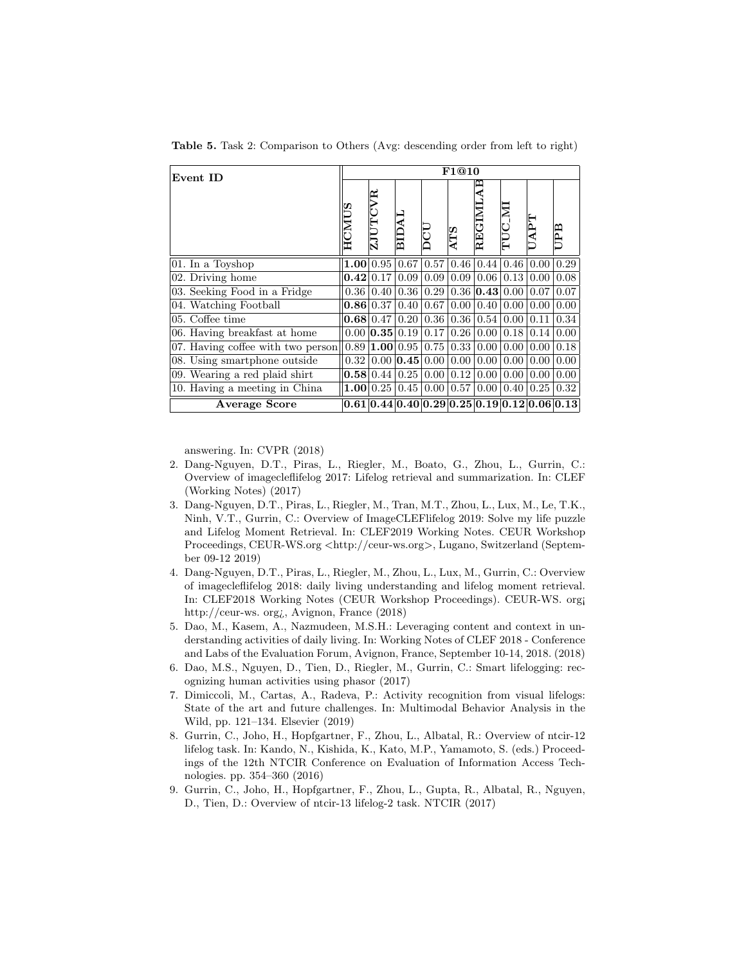| Event ID                          |                   | F1@10                         |           |          |            |                       |      |      |                                                 |  |
|-----------------------------------|-------------------|-------------------------------|-----------|----------|------------|-----------------------|------|------|-------------------------------------------------|--|
|                                   | <b>HCMUS</b>      | ≃<br>Ě<br>$\overline{\bf 2J}$ | ВIJ       |          | <b>ATS</b> | Ą<br>REGIMI           |      | UAPT | UPB                                             |  |
| 01. In a Toyshop                  | 1.00 <sub>l</sub> | 0.95                          | 0.67      | 0.57     | 0.46       | 0.44                  | 0.46 | 0.00 | 0.29                                            |  |
| 02. Driving home                  | 0.42              | 0.17                          | 0.09      | 0.09     |            | $0.09 \mid 0.06 \mid$ | 0.13 | 0.00 | 0.08                                            |  |
| 03. Seeking Food in a Fridge      | 0.36              | 0.40                          | 0.36      | 0.29     |            | 0.36   0.43           | 0.00 | 0.07 | 0.07                                            |  |
| 04. Watching Football             | 0.86              | 0.37                          | 0.40      | 0.67     | 0.00       | 0.40                  | 0.00 | 0.00 | 0.00                                            |  |
| 05. Coffee time                   | 0.68              | 0.47                          | 0.20      | 0.36     | 0.36       | 0.54                  | 0.00 | 0.11 | 0.34                                            |  |
| 06. Having breakfast at home      | 0.00              | 0.35                          | 0.19      | 0.17     | 0.26       | 0.00                  | 0.18 | 0.14 | 0.00                                            |  |
| 07. Having coffee with two person |                   | 0.89 1.00                     | 0.95      | 0.75     | 0.33       | 0.00                  | 0.00 | 0.00 | 0.18                                            |  |
| 08. Using smartphone outside      | 0.32              | 0.00 <sub>l</sub>             | 0.45 0.00 |          | 0.00       | 0.00                  | 0.00 | 0.00 | 0.00                                            |  |
| 09. Wearing a red plaid shirt     |                   | 0.58 0.44                     | 0.25      | 0.00     | 0.12       | 0.00 <sub>1</sub>     | 0.00 | 0.00 | 0.00                                            |  |
| 10. Having a meeting in China     | 1.00 <sub>1</sub> | 0.25                          | 0.45      | $0.00\,$ | 0.57       | 0.00                  | 0.40 | 0.25 | 0.32                                            |  |
| <b>Average Score</b>              |                   |                               |           |          |            |                       |      |      | $0.61 0.44 0.40 0.29 0.25 0.19 0.12 0.06 0.13 $ |  |

Table 5. Task 2: Comparison to Others (Avg: descending order from left to right)

answering. In: CVPR (2018)

- 2. Dang-Nguyen, D.T., Piras, L., Riegler, M., Boato, G., Zhou, L., Gurrin, C.: Overview of imagecleflifelog 2017: Lifelog retrieval and summarization. In: CLEF (Working Notes) (2017)
- 3. Dang-Nguyen, D.T., Piras, L., Riegler, M., Tran, M.T., Zhou, L., Lux, M., Le, T.K., Ninh, V.T., Gurrin, C.: Overview of ImageCLEFlifelog 2019: Solve my life puzzle and Lifelog Moment Retrieval. In: CLEF2019 Working Notes. CEUR Workshop Proceedings, CEUR-WS.org <http://ceur-ws.org>, Lugano, Switzerland (September 09-12 2019)
- 4. Dang-Nguyen, D.T., Piras, L., Riegler, M., Zhou, L., Lux, M., Gurrin, C.: Overview of imagecleflifelog 2018: daily living understanding and lifelog moment retrieval. In: CLEF2018 Working Notes (CEUR Workshop Proceedings). CEUR-WS. org¡ http://ceur-ws. org¿, Avignon, France (2018)
- 5. Dao, M., Kasem, A., Nazmudeen, M.S.H.: Leveraging content and context in understanding activities of daily living. In: Working Notes of CLEF 2018 - Conference and Labs of the Evaluation Forum, Avignon, France, September 10-14, 2018. (2018)
- 6. Dao, M.S., Nguyen, D., Tien, D., Riegler, M., Gurrin, C.: Smart lifelogging: recognizing human activities using phasor (2017)
- 7. Dimiccoli, M., Cartas, A., Radeva, P.: Activity recognition from visual lifelogs: State of the art and future challenges. In: Multimodal Behavior Analysis in the Wild, pp. 121–134. Elsevier (2019)
- 8. Gurrin, C., Joho, H., Hopfgartner, F., Zhou, L., Albatal, R.: Overview of ntcir-12 lifelog task. In: Kando, N., Kishida, K., Kato, M.P., Yamamoto, S. (eds.) Proceedings of the 12th NTCIR Conference on Evaluation of Information Access Technologies. pp. 354–360 (2016)
- 9. Gurrin, C., Joho, H., Hopfgartner, F., Zhou, L., Gupta, R., Albatal, R., Nguyen, D., Tien, D.: Overview of ntcir-13 lifelog-2 task. NTCIR (2017)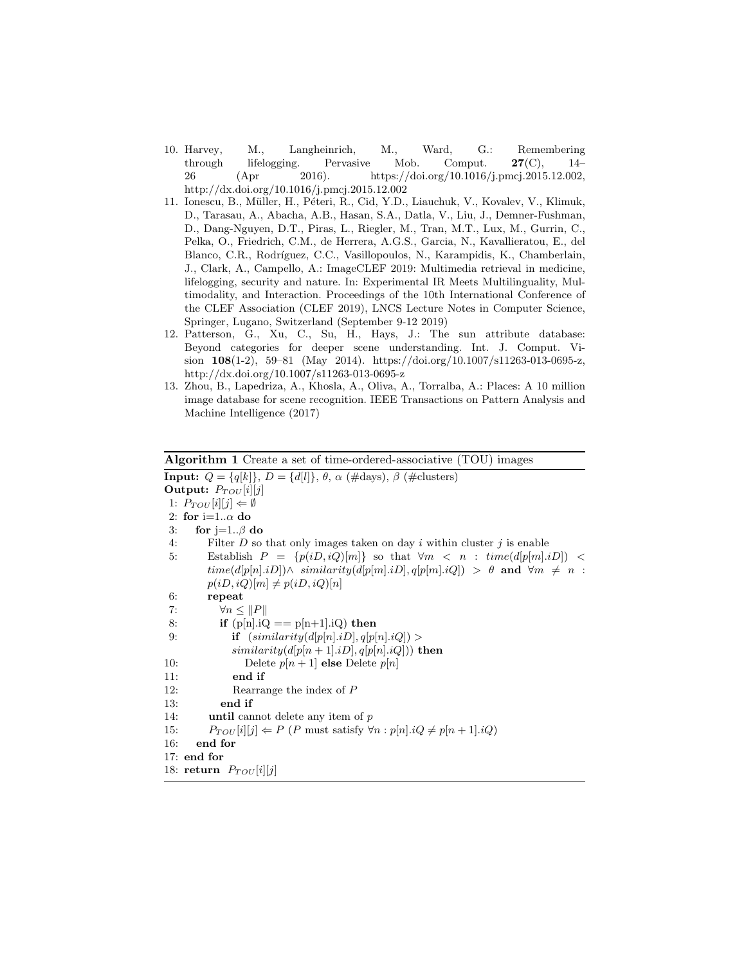- 10. Harvey, M., Langheinrich, M., Ward, G.: Remembering through lifelogging. Pervasive Mob. Comput. 27(C), 14– 26 (Apr 2016). https://doi.org/10.1016/j.pmcj.2015.12.002, http://dx.doi.org/10.1016/j.pmcj.2015.12.002
- 11. Ionescu, B., M¨uller, H., P´eteri, R., Cid, Y.D., Liauchuk, V., Kovalev, V., Klimuk, D., Tarasau, A., Abacha, A.B., Hasan, S.A., Datla, V., Liu, J., Demner-Fushman, D., Dang-Nguyen, D.T., Piras, L., Riegler, M., Tran, M.T., Lux, M., Gurrin, C., Pelka, O., Friedrich, C.M., de Herrera, A.G.S., Garcia, N., Kavallieratou, E., del Blanco, C.R., Rodríguez, C.C., Vasillopoulos, N., Karampidis, K., Chamberlain, J., Clark, A., Campello, A.: ImageCLEF 2019: Multimedia retrieval in medicine, lifelogging, security and nature. In: Experimental IR Meets Multilinguality, Multimodality, and Interaction. Proceedings of the 10th International Conference of the CLEF Association (CLEF 2019), LNCS Lecture Notes in Computer Science, Springer, Lugano, Switzerland (September 9-12 2019)
- 12. Patterson, G., Xu, C., Su, H., Hays, J.: The sun attribute database: Beyond categories for deeper scene understanding. Int. J. Comput. Vision 108(1-2), 59–81 (May 2014). https://doi.org/10.1007/s11263-013-0695-z, http://dx.doi.org/10.1007/s11263-013-0695-z
- 13. Zhou, B., Lapedriza, A., Khosla, A., Oliva, A., Torralba, A.: Places: A 10 million image database for scene recognition. IEEE Transactions on Pattern Analysis and Machine Intelligence (2017)

```
Algorithm 1 Create a set of time-ordered-associative (TOU) images
Input: Q = \{q[k]\}, D = \{d[l]\}, \theta, \alpha \text{ (#days)}, \beta \text{ (#clusters)}Output: P_{TOU}[i][j]1: P_{TOU}[i][j] \Leftarrow \emptyset2: for i=1..\alpha do
3: for j=1..\beta do
4: Filter D so that only images taken on day i within cluster j is enable
5: Establish P = \{p(iD, iQ)[m]\} so that \forall m \lt n : \text{time}(d[p[m].iD]) \lt \}time(d[p[n].iD]) \wedge similarity(d[p[m].iD], q[p[m].iQ]) > \theta and \forall m \neq n:
        p(iD, iQ)[m] \neq p(iD, iQ)[n]6: repeat
7: \forall n \leq ||P||8: if (p[n].iQ == p[n+1].iQ) then
9: if (similarity(d[p[n].iD], q[p[n].iQ]) >similarity(d[p[n+1].iD], q[p[n].iQ])) then
10: Delete p[n+1] else Delete p[n]11: end if
12: Rearrange the index of P
13: end if
14: until cannot delete any item of p
15: P_{TOU}[i][j] \leftarrow P(P \text{ must satisfy } \forall n : p[n].iQ \neq p[n+1].iQ)16: end for
17: end for
18: return P_{TOU}[i][j]
```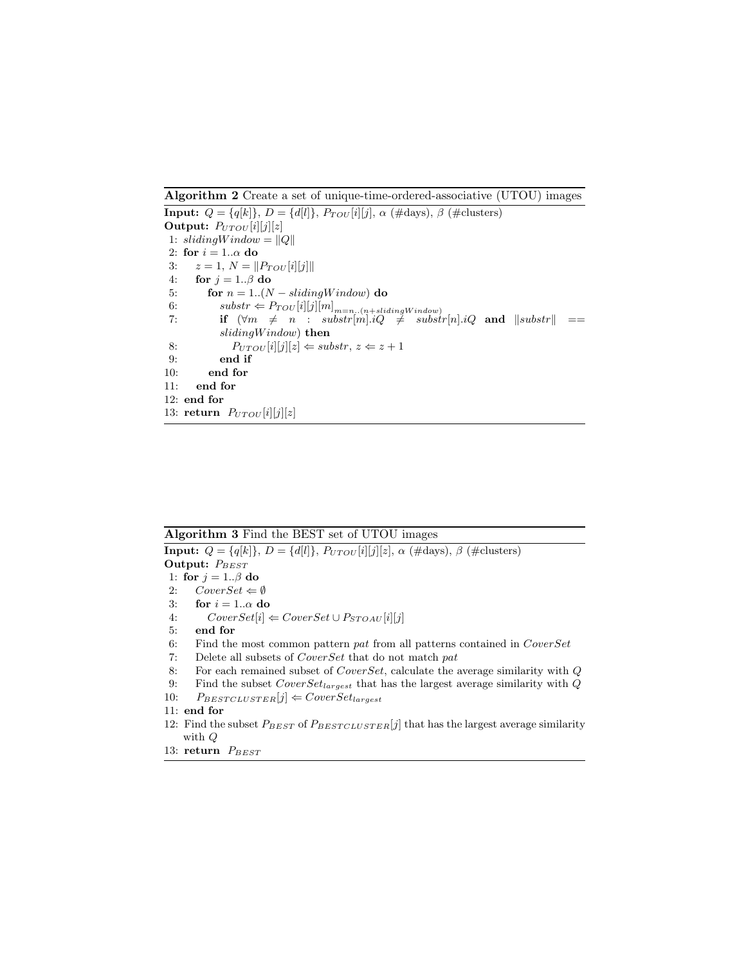Algorithm 2 Create a set of unique-time-ordered-associative (UTOU) images

**Input:**  $Q = \{q[k]\}, D = \{d[l]\}, P_{TOU}[i][j], \alpha \text{ (\#days)}, \beta \text{ (\#clusters)}$ Output:  $P_{UTOU}[i][j][z]$ 1:  $slidingWindow = ||Q||$ 2: for  $i = 1..\alpha$  do 3:  $z = 1, N = ||P_{TOU}[i][j]||$ 4: for  $j = 1..\beta$  do 5: for  $n = 1..(N - slidingWindow)$  do 6:  $\text{subset} \neq P_{TOU}[i][j][m]_{m=n..(n+slidingWindow)}$ 7: if  $(\forall m \neq n$  : substr $[m].iQ \neq$  substr $[n].iQ$  and  $\|substr\|$  ==  $sliding Window)$  then 8:  $P_{UTOU}[i][j][z] \Leftarrow \textit{substr}, z \Leftarrow z + 1$ 9: end if 10: end for 11: end for 12: end for 13: return  $P_{UTOU}[i][j][z]$ 

## Algorithm 3 Find the BEST set of UTOU images

**Input:**  $Q = \{q[k]\}, D = \{d[l]\}, P_{UTOU}[i][j][z], \alpha \ (\text{\#days}), \beta \ (\text{\#clusters})$ Output:  $P_{BEST}$ 1: for  $j = 1..\beta$  do 2:  $CoverSet \Leftarrow \emptyset$ 3: for  $i = 1..\alpha$  do 4:  $CoverSet[i] \Leftarrow CoverSet \cup P_{STOAU}[i][j]$ 5: end for 6: Find the most common pattern pat from all patterns contained in  $CoverSet$ 7: Delete all subsets of CoverSet that do not match pat 8: For each remained subset of CoverSet, calculate the average similarity with Q 9: Find the subset  $CoverSet_{largest}$  that has the largest average similarity with  $Q$ 10:  $P_{BESTCLUSTER}[j] \Leftarrow CoverSet_{largest}$ 11: end for

- 12: Find the subset  $P_{BERT}$  of  $P_{BERTCLUSTER}[j]$  that has the largest average similarity with Q
- 13: return  $P_{BEST}$